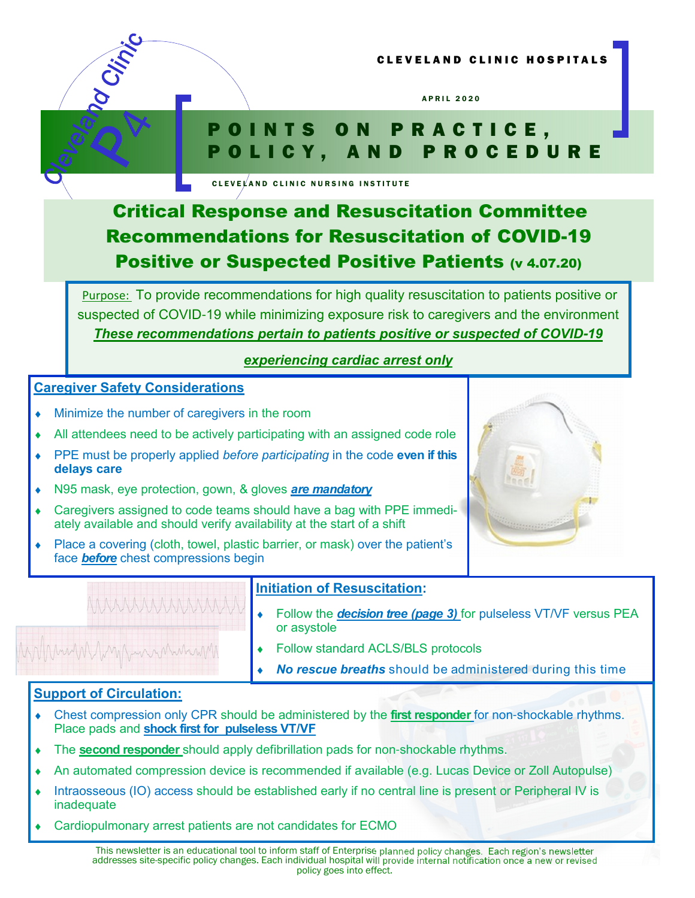



# POINTS ON PRACTICE, P O L I C Y , A N D P R O C E D U R E

CLEVELAND CLINIC NURSING INSTITUTE

# Critical Response and Resuscitation Committee Recommendations for Resuscitation of COVID-19 Positive or Suspected Positive Patients (v 4.07.20)

Purpose: To provide recommendations for high quality resuscitation to patients positive or suspected of COVID-19 while minimizing exposure risk to caregivers and the environment These recommendations pertain to patients positive or suspected of COVID**-**19

## experiencing cardiac arrest only

#### Caregiver Safety Considerations

- Minimize the number of caregivers in the room
- All attendees need to be actively participating with an assigned code role
- PPE must be properly applied before participating in the code even if this delays care
- N95 mask, eye protection, gown, & gloves are mandatory
- Caregivers assigned to code teams should have a bag with PPE immediately available and should verify availability at the start of a shift
- Place a covering (cloth, towel, plastic barrier, or mask) over the patient's face **before** chest compressions begin

## Initiation of Resuscitation:

Follow the **decision tree (page 3)** for pulseless VT/VF versus PEA or asystole

Follow standard ACLS/BLS protocols No rescue breaths should be administered during this time

#### Support of Circulation:

- Chest compression only CPR should be administered by the first responder for non-shockable rhythms. Place pads and shock first for pulseless VT/VF
- The second responder should apply defibrillation pads for non-shockable rhythms.
- An automated compression device is recommended if available (e.g. Lucas Device or Zoll Autopulse)
- Intraosseous (IO) access should be established early if no central line is present or Peripheral IV is inadequate
- Cardiopulmonary arrest patients are not candidates for ECMO

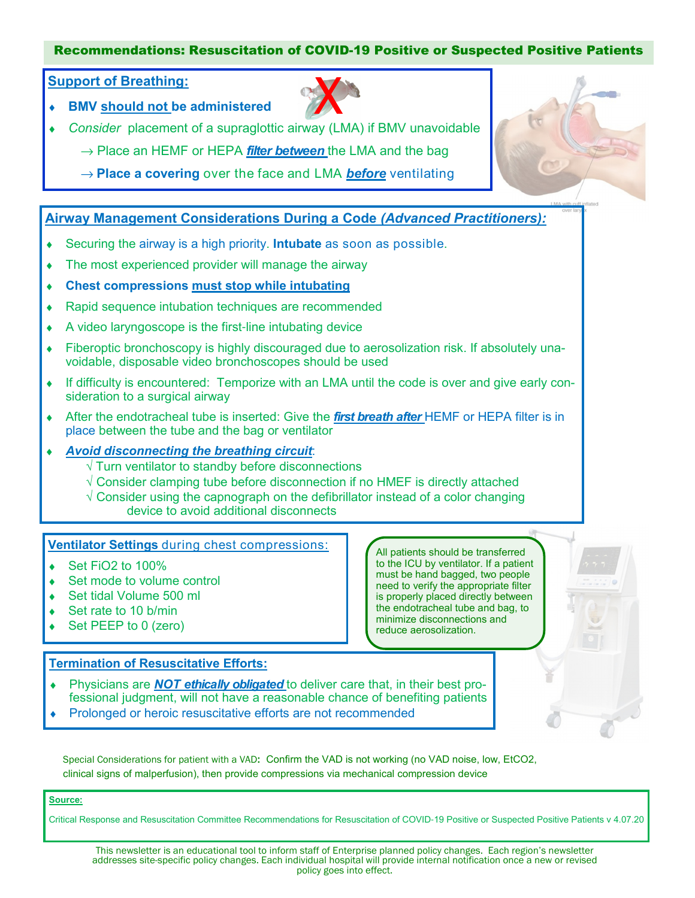#### Recommendations: Resuscitation of COVID-19 Positive or Suspected Positive Patients

#### Support of Breathing:

**BMV should not be administered** 



- Consider placement of a supraglottic airway (LMA) if BMV unavoidable
	- $\rightarrow$  Place an HEMF or HEPA *filter between* the LMA and the bag
	- $\rightarrow$  Place a covering over the face and LMA before ventilating

#### Airway Management Considerations During a Code (Advanced Practitioners):

- ◆ Securing the airway is a high priority. Intubate as soon as possible.
- The most experienced provider will manage the airway
- Chest compressions must stop while intubating
- Rapid sequence intubation techniques are recommended
- ♦ A video laryngoscope is the first-line intubating device
- Fiberoptic bronchoscopy is highly discouraged due to aerosolization risk. If absolutely unavoidable, disposable video bronchoscopes should be used
- ♦ If difficulty is encountered: Temporize with an LMA until the code is over and give early consideration to a surgical airway
- $\triangle$  After the endotracheal tube is inserted: Give the *first breath after* HEMF or HEPA filter is in place between the tube and the bag or ventilator

#### Avoid disconnecting the breathing circuit:

- $\sqrt{ }$  Turn ventilator to standby before disconnections
- $\sqrt{2}$  Consider clamping tube before disconnection if no HMEF is directly attached
- $\sqrt{2}$  Consider using the capnograph on the defibrillator instead of a color changing device to avoid additional disconnects

#### Ventilator Settings during chest compressions:

- $\bullet$  Set FiO2 to 100%
- ◆ Set mode to volume control
- Set tidal Volume 500 ml
- Set rate to 10 b/min
- Set PEEP to 0 (zero)

#### Termination of Resuscitative Efforts:

- Physicians are **NOT ethically obligated** to deliver care that, in their best professional judgment, will not have a reasonable chance of benefiting patients
- Prolonged or heroic resuscitative efforts are not recommended

Special Considerations for patient with a VAD: Confirm the VAD is not working (no VAD noise, low, EtCO2, clinical signs of malperfusion), then provide compressions via mechanical compression device

#### Source:

Critical Response and Resuscitation Committee Recommendations for Resuscitation of COVID-19 Positive or Suspected Positive Patients v 4.07.20

This newsletter is an educational tool to inform staff of Enterprise planned policy changes. Each region's newsletter addresses site-specific policy changes. Each individual hospital will provide internal notification once a new or revised policy goes into effect.

All patients should be transferred to the ICU by ventilator. If a patient must be hand bagged, two people need to verify the appropriate filter is properly placed directly between the endotracheal tube and bag, to minimize disconnections and reduce aerosolization.